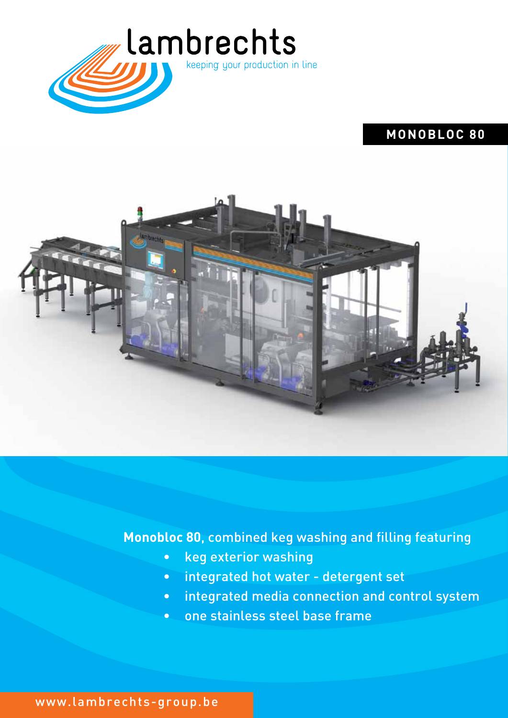

# **MONOBLOC 80**



## **Monobloc 80**, combined keg washing and filling featuring

- keg exterior washing
- integrated hot water detergent set
- integrated media connection and control system
- one stainless steel base frame

www.lambrechts-group.be